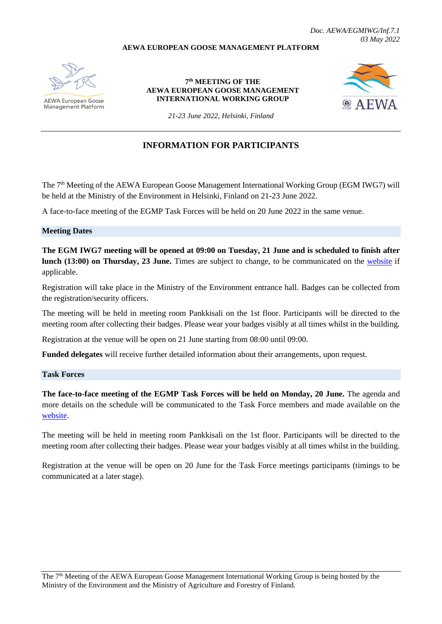### **AEWA EUROPEAN GOOSE MANAGEMENT PLATFORM**



**AEWA European Goose Management Platform** 

**7 th MEETING OF THE AEWA EUROPEAN GOOSE MANAGEMENT INTERNATIONAL WORKING GROUP**



*21-23 June 2022, Helsinki, Finland*

# **INFORMATION FOR PARTICIPANTS**

The 7<sup>th</sup> Meeting of the AEWA European Goose Management International Working Group (EGM IWG7) will be held at the Ministry of the Environment in Helsinki, Finland on 21-23 June 2022.

A face-to-face meeting of the EGMP Task Forces will be held on 20 June 2022 in the same venue.

#### **Meeting Dates**

**The EGM IWG7 meeting will be opened at 09:00 on Tuesday, 21 June and is scheduled to finish after lunch (13:00) on Thursday, 23 June.** Times are subject to change, to be communicated on the [website](https://egmp.aewa.info/meetings/iwg/detail/7th-meeting-aewa-european-goose-management-international-working-group-egm-iwg7) if applicable.

Registration will take place in the Ministry of the Environment entrance hall. Badges can be collected from the registration/security officers.

The meeting will be held in meeting room Pankkisali on the 1st floor. Participants will be directed to the meeting room after collecting their badges. Please wear your badges visibly at all times whilst in the building.

Registration at the venue will be open on 21 June starting from 08:00 until 09:00.

**Funded delegates** will receive further detailed information about their arrangements, upon request.

#### **Task Forces**

**The face-to-face meeting of the EGMP Task Forces will be held on Monday, 20 June.** The agenda and more details on the schedule will be communicated to the Task Force members and made available on the [website.](https://egmp.aewa.info/meetings/iwg/detail/7th-meeting-aewa-european-goose-management-international-working-group-egm-iwg7)

The meeting will be held in meeting room Pankkisali on the 1st floor. Participants will be directed to the meeting room after collecting their badges. Please wear your badges visibly at all times whilst in the building.

Registration at the venue will be open on 20 June for the Task Force meetings participants (timings to be communicated at a later stage).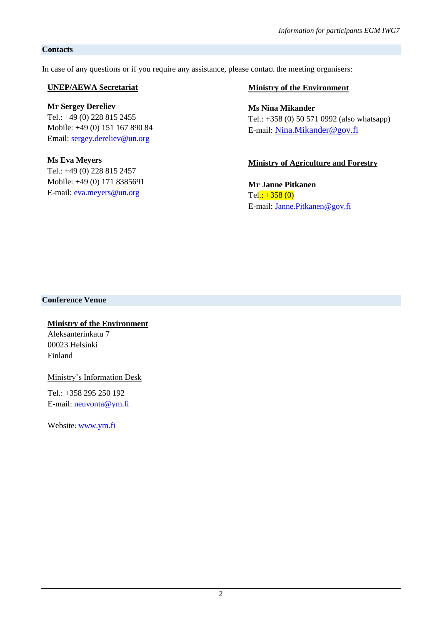# **Contacts**

In case of any questions or if you require any assistance, please contact the meeting organisers:

# **UNEP/AEWA Secretariat**

# **Mr Sergey Dereliev**

Tel.: +49 (0) 228 815 2455 Mobile: +49 (0) 151 167 890 84 Email: [sergey.dereliev@un.org](mailto:sergey.dereliev@unep-aewa.org)

## **Ms Eva Meyers**

Tel.: +49 (0) 228 815 2457 Mobile: +49 (0) 171 8385691 E-mail: [eva.meyers@un.org](mailto:eva.meyers@unep-aewa.org)

# **Ministry of the Environment**

# **Ms Nina Mikander**

Tel.: +358 (0) 50 571 0992 (also whatsapp) E-mail: [Nina.Mikander@gov.fi](mailto:Nina.Mikander@gov.fi)

# **Ministry of Agriculture and Forestry**

**Mr Janne Pitkanen** Tel.:  $+358(0)$ E-mail: [Janne.Pitkanen@gov.fi](mailto:Janne.Pitkanen@gov.fi)

# **Conference Venue**

# **Ministry of the Environment**

Aleksanterinkatu 7 00023 Helsinki Finland

Ministry's Information Desk

Tel.: +358 295 250 192 E-mail: neuvonta@ym.fi

Website: [www.ym.fi](file:///C:/Users/03022470/AppData/Local/Microsoft/Windows/INetCache/Content.Outlook/CZ43HZ1Z/www.ym.fi)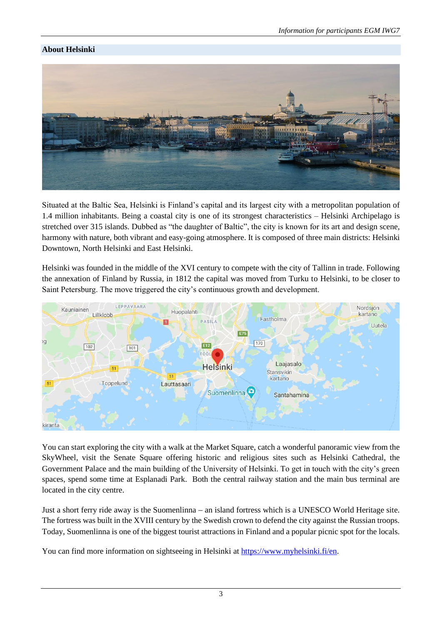# **About Helsinki**



Situated at the Baltic Sea, Helsinki is Finland's capital and its largest city with a metropolitan population of 1.4 million inhabitants. Being a coastal city is one of its strongest characteristics – Helsinki Archipelago is stretched over 315 islands. Dubbed as "the daughter of Baltic", the city is known for its art and design scene, harmony with nature, both vibrant and easy-going atmosphere. It is composed of three main districts: Helsinki Downtown, North Helsinki and East Helsinki.

Helsinki was founded in the middle of the XVI century to compete with the city of Tallinn in trade. Following the annexation of Finland by Russia, in 1812 the capital was moved from Turku to Helsinki, to be closer to Saint Petersburg. The move triggered the city's continuous growth and development.



You can start exploring the city with a walk at the Market Square, catch a wonderful panoramic view from the SkyWheel, visit the Senate Square offering historic and religious sites such as Helsinki Cathedral, the Government Palace and the main building of the University of Helsinki. To get in touch with the city's green spaces, spend some time at Esplanadi Park. Both the central railway station and the main bus terminal are located in the city centre.

Just a short ferry ride away is the Suomenlinna – an island fortress which is a UNESCO World Heritage site. The fortress was built in the XVIII century by the Swedish crown to defend the city against the Russian troops. Today, Suomenlinna is one of the biggest tourist attractions in Finland and a popular picnic spot for the locals.

You can find more information on sightseeing in Helsinki at [https://www.myhelsinki.fi/en.](https://www.myhelsinki.fi/en)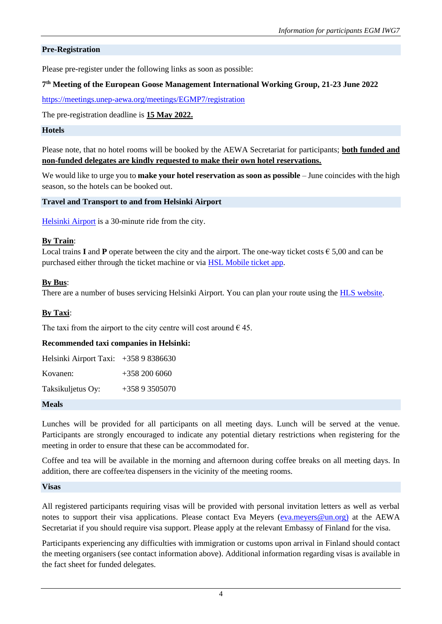## **Pre-Registration**

Please pre-register under the following links as soon as possible:

## **7 th Meeting of the European Goose Management International Working Group, 21-23 June 2022**

<https://meetings.unep-aewa.org/meetings/EGMP7/registration>

The pre-registration deadline is **15 May 2022.**

#### **Hotels**

Please note, that no hotel rooms will be booked by the AEWA Secretariat for participants; **both funded and non-funded delegates are kindly requested to make their own hotel reservations.** 

We would like to urge you to **make your hotel reservation as soon as possible** – June coincides with the high season, so the hotels can be booked out.

**Travel and Transport to and from Helsinki Airport**

[Helsinki Airport](https://www.finavia.fi/en/airports/helsinki-airport) is a 30-minute ride from the city.

#### **By Train**:

Local trains **I** and **P** operate between the city and the airport. The one-way ticket costs  $\in$  5,00 and can be purchased either through the ticket machine or via [HSL Mobile ticket app.](https://www.hsl.fi/en/tickets-and-fares/hsl-app)

## **By Bus**:

There are a number of buses servicing Helsinki Airport. You can plan your route using the [HLS website.](https://www.hsl.fi/en)

## **By Taxi**:

The taxi from the airport to the city centre will cost around  $\epsilon$  45.

#### **Recommended taxi companies in Helsinki:**

| Helsinki Airport Taxi: $+35898386630$ |                |
|---------------------------------------|----------------|
| Kovanen:                              | $+3582006060$  |
| Taksikuljetus Oy:                     | $+35893505070$ |

#### **Meals**

Lunches will be provided for all participants on all meeting days. Lunch will be served at the venue. Participants are strongly encouraged to indicate any potential dietary restrictions when registering for the meeting in order to ensure that these can be accommodated for.

Coffee and tea will be available in the morning and afternoon during coffee breaks on all meeting days. In addition, there are coffee/tea dispensers in the vicinity of the meeting rooms.

#### **Visas**

All registered participants requiring visas will be provided with personal invitation letters as well as verbal notes to support their visa applications. Please contact Eva Meyers [\(eva.meyers@un.org\)](file:///C:/Users/03022470/AppData/Local/Microsoft/Windows/INetCache/Content.Outlook/CZ43HZ1Z/eva.meyers@un.org)) at the AEWA Secretariat if you should require visa support. Please apply at the relevant Embassy of Finland for the visa.

Participants experiencing any difficulties with immigration or customs upon arrival in Finland should contact the meeting organisers (see contact information above). Additional information regarding visas is available in the fact sheet for funded delegates.